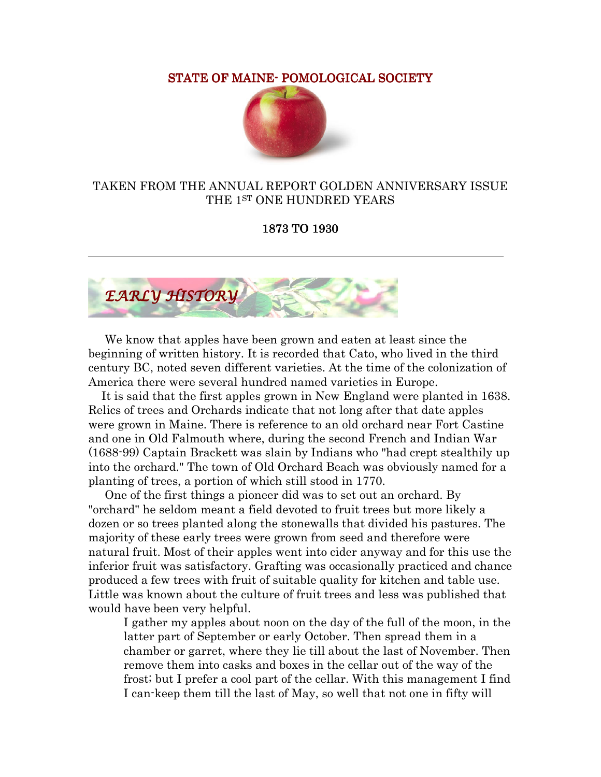STATE OF MAINE- POMOLOGICAL SOCIETY



## TAKEN FROM THE ANNUAL REPORT GOLDEN ANNIVERSARY ISSUE THE 1ST ONE HUNDRED YEARS

1873 TO 1930



 We know that apples have been grown and eaten at least since the beginning of written history. It is recorded that Cato, who lived in the third century BC, noted seven different varieties. At the time of the colonization of America there were several hundred named varieties in Europe.

 It is said that the first apples grown in New England were planted in 1638. Relics of trees and Orchards indicate that not long after that date apples were grown in Maine. There is reference to an old orchard near Fort Castine and one in Old Falmouth where, during the second French and Indian War (1688-99) Captain Brackett was slain by Indians who "had crept stealthily up into the orchard." The town of Old Orchard Beach was obviously named for a planting of trees, a portion of which still stood in 1770.

 One of the first things a pioneer did was to set out an orchard. By "orchard" he seldom meant a field devoted to fruit trees but more likely a dozen or so trees planted along the stonewalls that divided his pastures. The majority of these early trees were grown from seed and therefore were natural fruit. Most of their apples went into cider anyway and for this use the inferior fruit was satisfactory. Grafting was occasionally practiced and chance produced a few trees with fruit of suitable quality for kitchen and table use. Little was known about the culture of fruit trees and less was published that would have been very helpful.

I gather my apples about noon on the day of the full of the moon, in the latter part of September or early October. Then spread them in a chamber or garret, where they lie till about the last of November. Then remove them into casks and boxes in the cellar out of the way of the frost; but I prefer a cool part of the cellar. With this management I find I can-keep them till the last of May, so well that not one in fifty will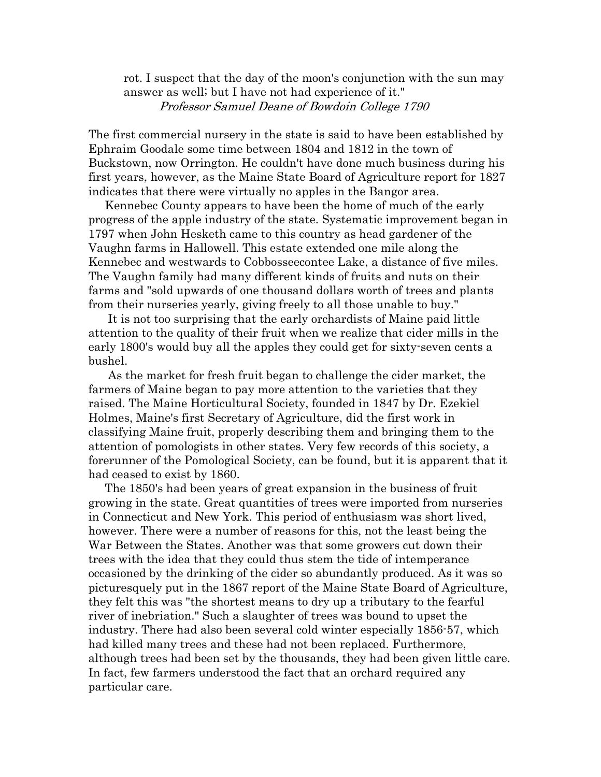rot. I suspect that the day of the moon's conjunction with the sun may answer as well; but I have not had experience of it." Professor Samuel Deane of Bowdoin College 1790

The first commercial nursery in the state is said to have been established by Ephraim Goodale some time between 1804 and 1812 in the town of Buckstown, now Orrington. He couldn't have done much business during his first years, however, as the Maine State Board of Agriculture report for 1827 indicates that there were virtually no apples in the Bangor area.

 Kennebec County appears to have been the home of much of the early progress of the apple industry of the state. Systematic improvement began in 1797 when John Hesketh came to this country as head gardener of the Vaughn farms in Hallowell. This estate extended one mile along the Kennebec and westwards to Cobbosseecontee Lake, a distance of five miles. The Vaughn family had many different kinds of fruits and nuts on their farms and "sold upwards of one thousand dollars worth of trees and plants from their nurseries yearly, giving freely to all those unable to buy."

 It is not too surprising that the early orchardists of Maine paid little attention to the quality of their fruit when we realize that cider mills in the early 1800's would buy all the apples they could get for sixty-seven cents a bushel.

 As the market for fresh fruit began to challenge the cider market, the farmers of Maine began to pay more attention to the varieties that they raised. The Maine Horticultural Society, founded in 1847 by Dr. Ezekiel Holmes, Maine's first Secretary of Agriculture, did the first work in classifying Maine fruit, properly describing them and bringing them to the attention of pomologists in other states. Very few records of this society, a forerunner of the Pomological Society, can be found, but it is apparent that it had ceased to exist by 1860.

 The 1850's had been years of great expansion in the business of fruit growing in the state. Great quantities of trees were imported from nurseries in Connecticut and New York. This period of enthusiasm was short lived, however. There were a number of reasons for this, not the least being the War Between the States. Another was that some growers cut down their trees with the idea that they could thus stem the tide of intemperance occasioned by the drinking of the cider so abundantly produced. As it was so picturesquely put in the 1867 report of the Maine State Board of Agriculture, they felt this was "the shortest means to dry up a tributary to the fearful river of inebriation." Such a slaughter of trees was bound to upset the industry. There had also been several cold winter especially 1856-57, which had killed many trees and these had not been replaced. Furthermore, although trees had been set by the thousands, they had been given little care. In fact, few farmers understood the fact that an orchard required any particular care.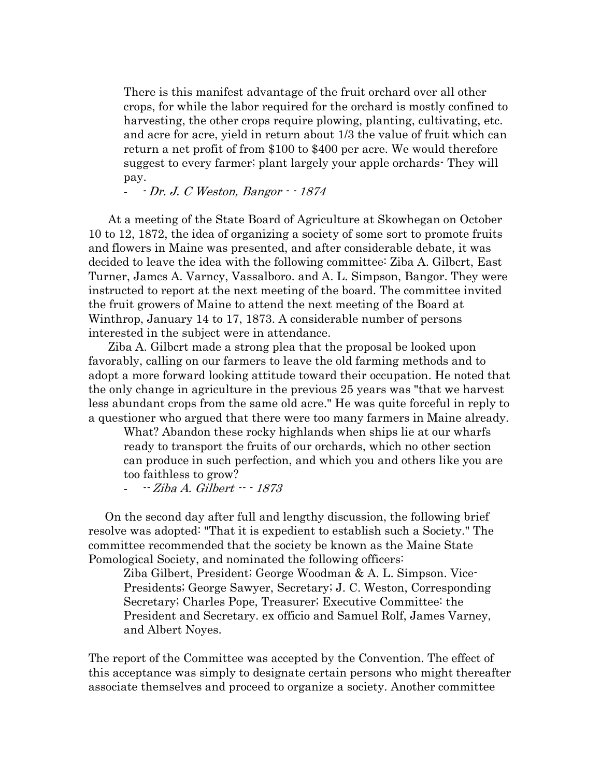There is this manifest advantage of the fruit orchard over all other crops, for while the labor required for the orchard is mostly confined to harvesting, the other crops require plowing, planting, cultivating, etc. and acre for acre, yield in return about 1/3 the value of fruit which can return a net profit of from \$100 to \$400 per acre. We would therefore suggest to every farmer; plant largely your apple orchards- They will pay.

- - Dr. J. C Weston, Bangor - - 1874

 At a meeting of the State Board of Agriculture at Skowhegan on October 10 to 12, 1872, the idea of organizing a society of some sort to promote fruits and flowers in Maine was presented, and after considerable debate, it was decided to leave the idea with the following committee: Ziba A. Gilbcrt, East Turner, Jamcs A. Varncy, Vassalboro. and A. L. Simpson, Bangor. They were instructed to report at the next meeting of the board. The committee invited the fruit growers of Maine to attend the next meeting of the Board at Winthrop, January 14 to 17, 1873. A considerable number of persons interested in the subject were in attendance.

 Ziba A. Gilbcrt made a strong plea that the proposal be looked upon favorably, calling on our farmers to leave the old farming methods and to adopt a more forward looking attitude toward their occupation. He noted that the only change in agriculture in the previous 25 years was "that we harvest less abundant crops from the same old acre." He was quite forceful in reply to a questioner who argued that there were too many farmers in Maine already.

What? Abandon these rocky highlands when ships lie at our wharfs ready to transport the fruits of our orchards, which no other section can produce in such perfection, and which you and others like you are too faithless to grow?

 $-$  Ziba A. Gilbert  $1873$ 

 On the second day after full and lengthy discussion, the following brief resolve was adopted: "That it is expedient to establish such a Society." The committee recommended that the society be known as the Maine State Pomological Society, and nominated the following officers:

Ziba Gilbert, President; George Woodman & A. L. Simpson. Vice-Presidents; George Sawyer, Secretary; J. C. Weston, Corresponding Secretary; Charles Pope, Treasurer; Executive Committee: the President and Secretary. ex officio and Samuel Rolf, James Varney, and Albert Noyes.

The report of the Committee was accepted by the Convention. The effect of this acceptance was simply to designate certain persons who might thereafter associate themselves and proceed to organize a society. Another committee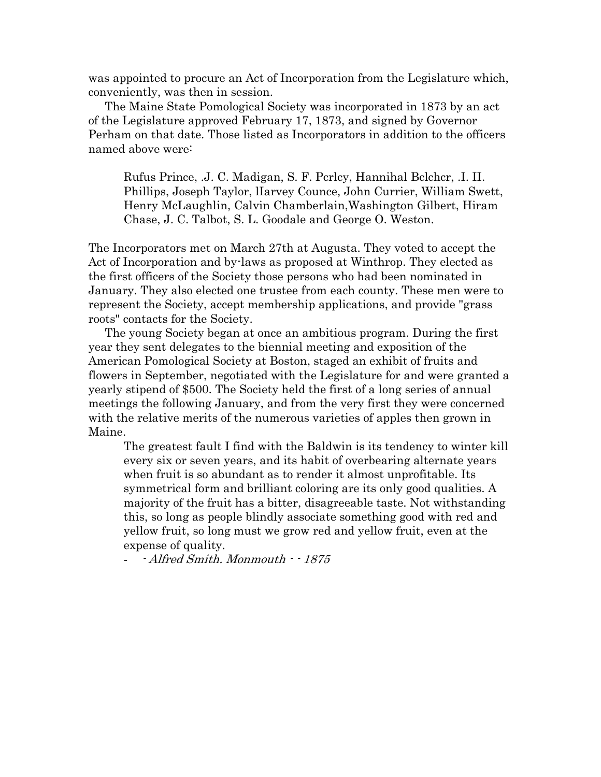was appointed to procure an Act of Incorporation from the Legislature which, conveniently, was then in session.

 The Maine State Pomological Society was incorporated in 1873 by an act of the Legislature approved February 17, 1873, and signed by Governor Perham on that date. Those listed as Incorporators in addition to the officers named above were:

Rufus Prince, .J. C. Madigan, S. F. Pcrlcy, Hannihal Bclchcr, .I. II. Phillips, Joseph Taylor, lIarvey Counce, John Currier, William Swett, Henry McLaughlin, Calvin Chamberlain,Washington Gilbert, Hiram Chase, J. C. Talbot, S. L. Goodale and George O. Weston.

The Incorporators met on March 27th at Augusta. They voted to accept the Act of Incorporation and by-laws as proposed at Winthrop. They elected as the first officers of the Society those persons who had been nominated in January. They also elected one trustee from each county. These men were to represent the Society, accept membership applications, and provide "grass roots" contacts for the Society.

 The young Society began at once an ambitious program. During the first year they sent delegates to the biennial meeting and exposition of the American Pomological Society at Boston, staged an exhibit of fruits and flowers in September, negotiated with the Legislature for and were granted a yearly stipend of \$500. The Society held the first of a long series of annual meetings the following January, and from the very first they were concerned with the relative merits of the numerous varieties of apples then grown in Maine.

The greatest fault I find with the Baldwin is its tendency to winter kill every six or seven years, and its habit of overbearing alternate years when fruit is so abundant as to render it almost unprofitable. Its symmetrical form and brilliant coloring are its only good qualities. A majority of the fruit has a bitter, disagreeable taste. Not withstanding this, so long as people blindly associate something good with red and yellow fruit, so long must we grow red and yellow fruit, even at the expense of quality.

- Alfred Smith. Monmouth - - 1875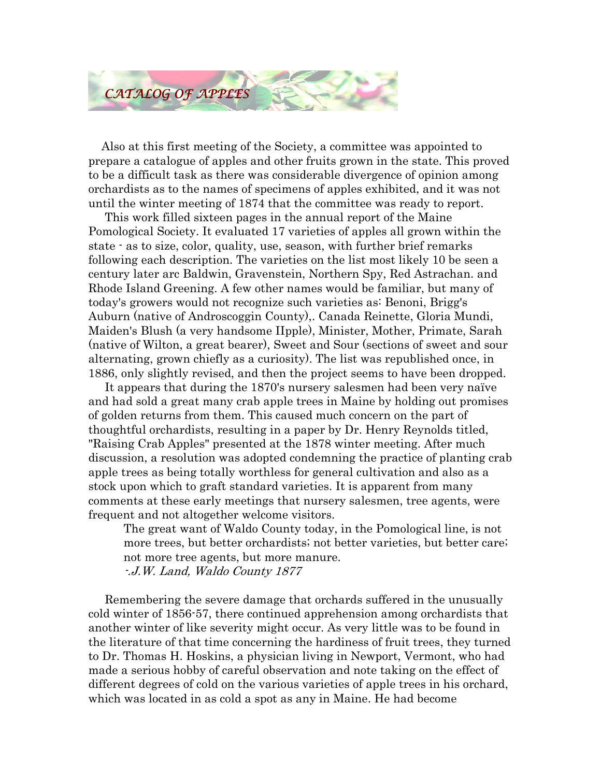

 Also at this first meeting of the Society, a committee was appointed to prepare a catalogue of apples and other fruits grown in the state. This proved to be a difficult task as there was considerable divergence of opinion among orchardists as to the names of specimens of apples exhibited, and it was not until the winter meeting of 1874 that the committee was ready to report.

 This work filled sixteen pages in the annual report of the Maine Pomological Society. It evaluated 17 varieties of apples all grown within the state - as to size, color, quality, use, season, with further brief remarks following each description. The varieties on the list most likely 10 be seen a century later arc Baldwin, Gravenstein, Northern Spy, Red Astrachan. and Rhode Island Greening. A few other names would be familiar, but many of today's growers would not recognize such varieties as: Benoni, Brigg's Auburn (native of Androscoggin County),. Canada Reinette, Gloria Mundi, Maiden's Blush (a very handsome IIpple), Minister, Mother, Primate, Sarah (native of Wilton, a great bearer), Sweet and Sour (sections of sweet and sour alternating, grown chiefly as a curiosity). The list was republished once, in 1886, only slightly revised, and then the project seems to have been dropped.

 It appears that during the 1870's nursery salesmen had been very naïve and had sold a great many crab apple trees in Maine by holding out promises of golden returns from them. This caused much concern on the part of thoughtful orchardists, resulting in a paper by Dr. Henry Reynolds titled, "Raising Crab Apples" presented at the 1878 winter meeting. After much discussion, a resolution was adopted condemning the practice of planting crab apple trees as being totally worthless for general cultivation and also as a stock upon which to graft standard varieties. It is apparent from many comments at these early meetings that nursery salesmen, tree agents, were frequent and not altogether welcome visitors.

The great want of Waldo County today, in the Pomological line, is not more trees, but better orchardists; not better varieties, but better care; not more tree agents, but more manure. -.J.W. Land, Waldo County 1877

 Remembering the severe damage that orchards suffered in the unusually cold winter of 1856-57, there continued apprehension among orchardists that another winter of like severity might occur. As very little was to be found in the literature of that time concerning the hardiness of fruit trees, they turned to Dr. Thomas H. Hoskins, a physician living in Newport, Vermont, who had made a serious hobby of careful observation and note taking on the effect of different degrees of cold on the various varieties of apple trees in his orchard, which was located in as cold a spot as any in Maine. He had become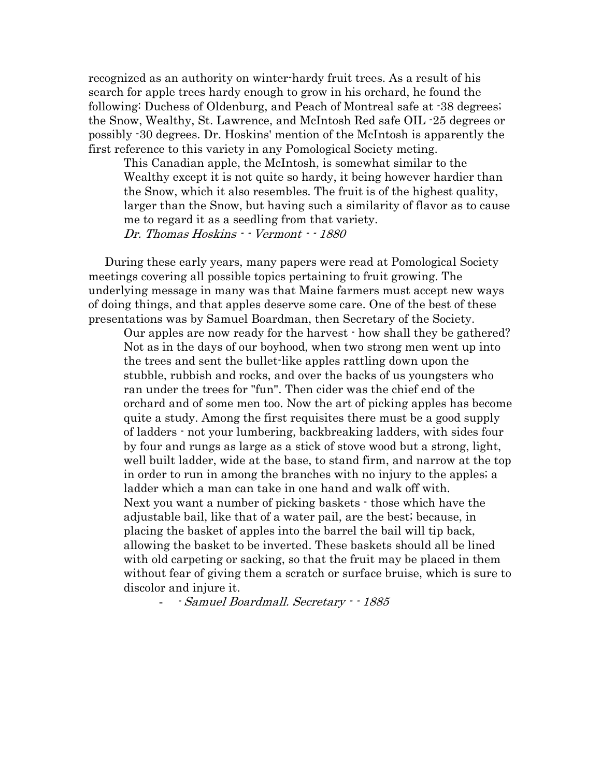recognized as an authority on winter-hardy fruit trees. As a result of his search for apple trees hardy enough to grow in his orchard, he found the following: Duchess of Oldenburg, and Peach of Montreal safe at -38 degrees; the Snow, Wealthy, St. Lawrence, and McIntosh Red safe OIL -25 degrees or possibly -30 degrees. Dr. Hoskins' mention of the McIntosh is apparently the first reference to this variety in any Pomological Society meting.

This Canadian apple, the McIntosh, is somewhat similar to the Wealthy except it is not quite so hardy, it being however hardier than the Snow, which it also resembles. The fruit is of the highest quality, larger than the Snow, but having such a similarity of flavor as to cause me to regard it as a seedling from that variety. Dr. Thomas Hoskins - - Vermont - - 1880

 During these early years, many papers were read at Pomological Society meetings covering all possible topics pertaining to fruit growing. The underlying message in many was that Maine farmers must accept new ways of doing things, and that apples deserve some care. One of the best of these presentations was by Samuel Boardman, then Secretary of the Society.

Our apples are now ready for the harvest - how shall they be gathered? Not as in the days of our boyhood, when two strong men went up into the trees and sent the bullet-like apples rattling down upon the stubble, rubbish and rocks, and over the backs of us youngsters who ran under the trees for "fun". Then cider was the chief end of the orchard and of some men too. Now the art of picking apples has become quite a study. Among the first requisites there must be a good supply of ladders - not your lumbering, backbreaking ladders, with sides four by four and rungs as large as a stick of stove wood but a strong, light, well built ladder, wide at the base, to stand firm, and narrow at the top in order to run in among the branches with no injury to the apples; a ladder which a man can take in one hand and walk off with. Next you want a number of picking baskets - those which have the adjustable bail, like that of a water pail, are the best; because, in placing the basket of apples into the barrel the bail will tip back, allowing the basket to be inverted. These baskets should all be lined with old carpeting or sacking, so that the fruit may be placed in them without fear of giving them a scratch or surface bruise, which is sure to discolor and injure it.

- - Samuel Boardmall. Secretary - - 1885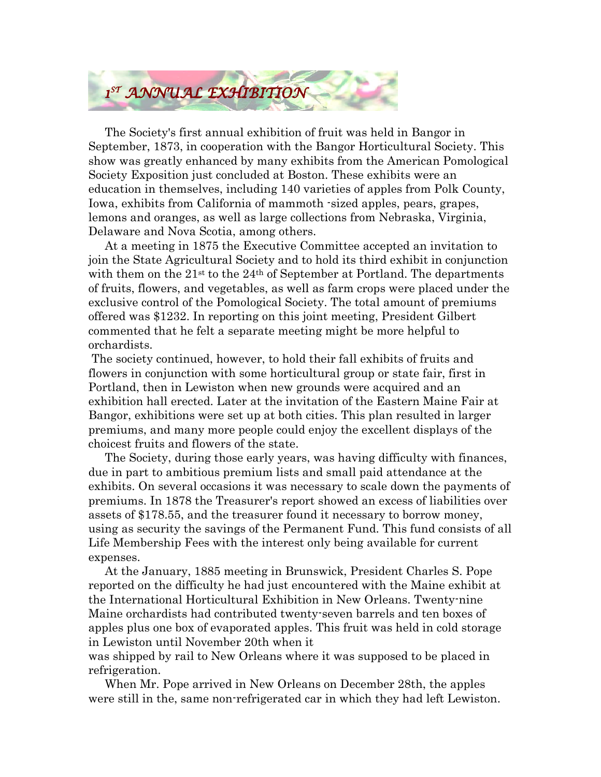

 The Society's first annual exhibition of fruit was held in Bangor in September, 1873, in cooperation with the Bangor Horticultural Society. This show was greatly enhanced by many exhibits from the American Pomological Society Exposition just concluded at Boston. These exhibits were an education in themselves, including 140 varieties of apples from Polk County, Iowa, exhibits from California of mammoth -sized apples, pears, grapes, lemons and oranges, as well as large collections from Nebraska, Virginia, Delaware and Nova Scotia, among others.

 At a meeting in 1875 the Executive Committee accepted an invitation to join the State Agricultural Society and to hold its third exhibit in conjunction with them on the  $21^{st}$  to the  $24^{th}$  of September at Portland. The departments of fruits, flowers, and vegetables, as well as farm crops were placed under the exclusive control of the Pomological Society. The total amount of premiums offered was \$1232. In reporting on this joint meeting, President Gilbert commented that he felt a separate meeting might be more helpful to orchardists.

 The society continued, however, to hold their fall exhibits of fruits and flowers in conjunction with some horticultural group or state fair, first in Portland, then in Lewiston when new grounds were acquired and an exhibition hall erected. Later at the invitation of the Eastern Maine Fair at Bangor, exhibitions were set up at both cities. This plan resulted in larger premiums, and many more people could enjoy the excellent displays of the choicest fruits and flowers of the state.

 The Society, during those early years, was having difficulty with finances, due in part to ambitious premium lists and small paid attendance at the exhibits. On several occasions it was necessary to scale down the payments of premiums. In 1878 the Treasurer's report showed an excess of liabilities over assets of \$178.55, and the treasurer found it necessary to borrow money, using as security the savings of the Permanent Fund. This fund consists of all Life Membership Fees with the interest only being available for current expenses.

 At the January, 1885 meeting in Brunswick, President Charles S. Pope reported on the difficulty he had just encountered with the Maine exhibit at the International Horticultural Exhibition in New Orleans. Twenty-nine Maine orchardists had contributed twenty-seven barrels and ten boxes of apples plus one box of evaporated apples. This fruit was held in cold storage in Lewiston until November 20th when it

was shipped by rail to New Orleans where it was supposed to be placed in refrigeration.

 When Mr. Pope arrived in New Orleans on December 28th, the apples were still in the, same non-refrigerated car in which they had left Lewiston.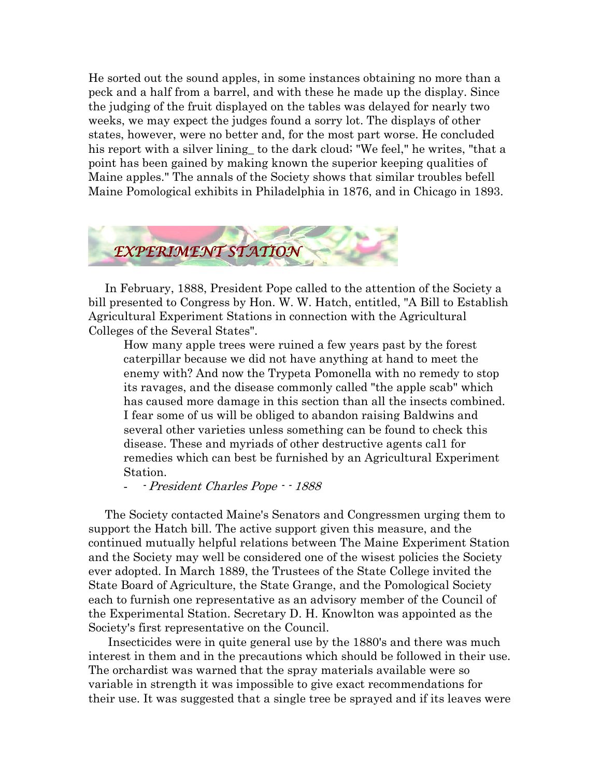He sorted out the sound apples, in some instances obtaining no more than a peck and a half from a barrel, and with these he made up the display. Since the judging of the fruit displayed on the tables was delayed for nearly two weeks, we may expect the judges found a sorry lot. The displays of other states, however, were no better and, for the most part worse. He concluded his report with a silver lining\_ to the dark cloud; "We feel," he writes, "that a point has been gained by making known the superior keeping qualities of Maine apples." The annals of the Society shows that similar troubles befell Maine Pomological exhibits in Philadelphia in 1876, and in Chicago in 1893.



 In February, 1888, President Pope called to the attention of the Society a bill presented to Congress by Hon. W. W. Hatch, entitled, "A Bill to Establish Agricultural Experiment Stations in connection with the Agricultural Colleges of the Several States".

How many apple trees were ruined a few years past by the forest caterpillar because we did not have anything at hand to meet the enemy with? And now the Trypeta Pomonella with no remedy to stop its ravages, and the disease commonly called "the apple scab" which has caused more damage in this section than all the insects combined. I fear some of us will be obliged to abandon raising Baldwins and several other varieties unless something can be found to check this disease. These and myriads of other destructive agents cal1 for remedies which can best be furnished by an Agricultural Experiment Station.

- - President Charles Pope - - 1888

 The Society contacted Maine's Senators and Congressmen urging them to support the Hatch bill. The active support given this measure, and the continued mutually helpful relations between The Maine Experiment Station and the Society may well be considered one of the wisest policies the Society ever adopted. In March 1889, the Trustees of the State College invited the State Board of Agriculture, the State Grange, and the Pomological Society each to furnish one representative as an advisory member of the Council of the Experimental Station. Secretary D. H. Knowlton was appointed as the Society's first representative on the Council.

 Insecticides were in quite general use by the 1880's and there was much interest in them and in the precautions which should be followed in their use. The orchardist was warned that the spray materials available were so variable in strength it was impossible to give exact recommendations for their use. It was suggested that a single tree be sprayed and if its leaves were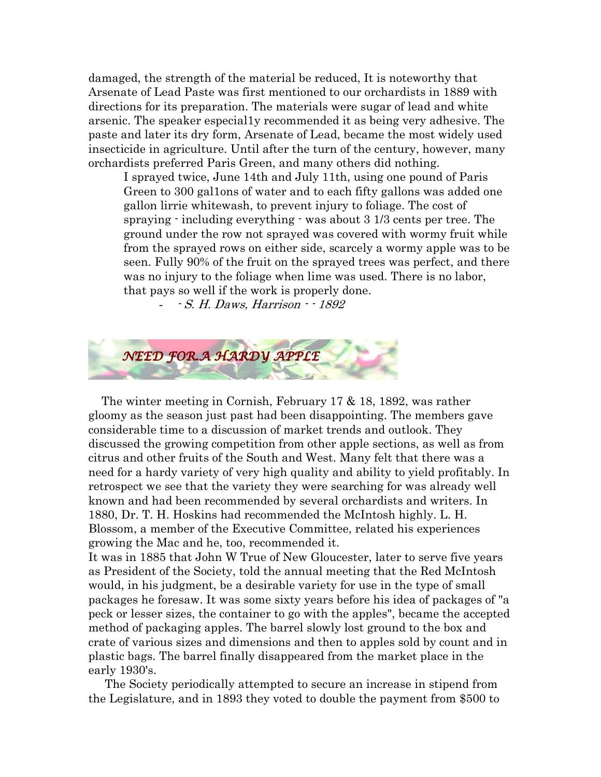damaged, the strength of the material be reduced, It is noteworthy that Arsenate of Lead Paste was first mentioned to our orchardists in 1889 with directions for its preparation. The materials were sugar of lead and white arsenic. The speaker especial1y recommended it as being very adhesive. The paste and later its dry form, Arsenate of Lead, became the most widely used insecticide in agriculture. Until after the turn of the century, however, many orchardists preferred Paris Green, and many others did nothing.

I sprayed twice, June 14th and July 11th, using one pound of Paris Green to 300 gal1ons of water and to each fifty gallons was added one gallon lirrie whitewash, to prevent injury to foliage. The cost of spraying - including everything - was about 3 1/3 cents per tree. The ground under the row not sprayed was covered with wormy fruit while from the sprayed rows on either side, scarcely a wormy apple was to be seen. Fully 90% of the fruit on the sprayed trees was perfect, and there was no injury to the foliage when lime was used. There is no labor, that pays so well if the work is properly done.

- - S. H. Daws, Harrison - - 1892



 The winter meeting in Cornish, February 17 & 18, 1892, was rather gloomy as the season just past had been disappointing. The members gave considerable time to a discussion of market trends and outlook. They discussed the growing competition from other apple sections, as well as from citrus and other fruits of the South and West. Many felt that there was a need for a hardy variety of very high quality and ability to yield profitably. In retrospect we see that the variety they were searching for was already well known and had been recommended by several orchardists and writers. In 1880, Dr. T. H. Hoskins had recommended the McIntosh highly. L. H. Blossom, a member of the Executive Committee, related his experiences growing the Mac and he, too, recommended it.

It was in 1885 that John W True of New Gloucester, later to serve five years as President of the Society, told the annual meeting that the Red McIntosh would, in his judgment, be a desirable variety for use in the type of small packages he foresaw. It was some sixty years before his idea of packages of "a peck or lesser sizes, the container to go with the apples", became the accepted method of packaging apples. The barrel slowly lost ground to the box and crate of various sizes and dimensions and then to apples sold by count and in plastic bags. The barrel finally disappeared from the market place in the early 1930's.

 The Society periodically attempted to secure an increase in stipend from the Legislature, and in 1893 they voted to double the payment from \$500 to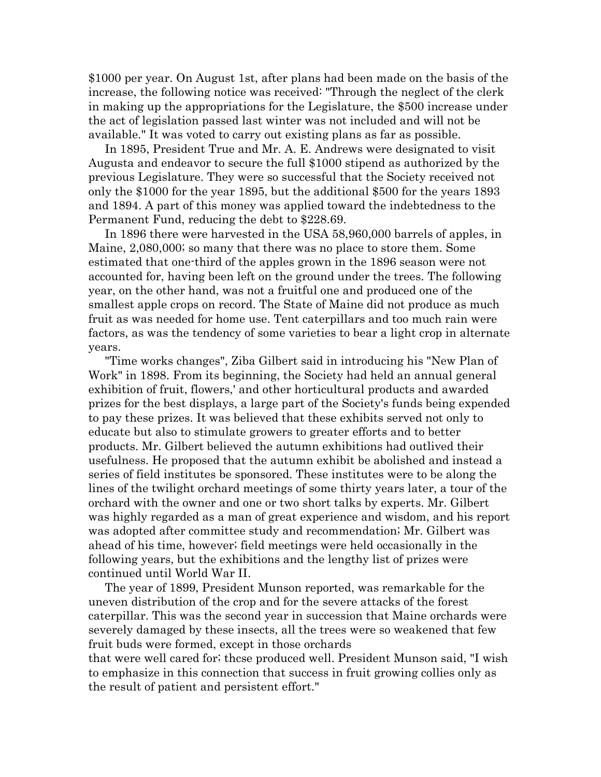\$1000 per year. On August 1st, after plans had been made on the basis of the increase, the following notice was received: "Through the neglect of the clerk in making up the appropriations for the Legislature, the \$500 increase under the act of legislation passed last winter was not included and will not be available." It was voted to carry out existing plans as far as possible.

 In 1895, President True and Mr. A. E. Andrews were designated to visit Augusta and endeavor to secure the full \$1000 stipend as authorized by the previous Legislature. They were so successful that the Society received not only the \$1000 for the year 1895, but the additional \$500 for the years 1893 and 1894. A part of this money was applied toward the indebtedness to the Permanent Fund, reducing the debt to \$228.69.

 In 1896 there were harvested in the USA 58,960,000 barrels of apples, in Maine, 2,080,000; so many that there was no place to store them. Some estimated that one-third of the apples grown in the 1896 season were not accounted for, having been left on the ground under the trees. The following year, on the other hand, was not a fruitful one and produced one of the smallest apple crops on record. The State of Maine did not produce as much fruit as was needed for home use. Tent caterpillars and too much rain were factors, as was the tendency of some varieties to bear a light crop in alternate years.

 "Time works changes", Ziba Gilbert said in introducing his "New Plan of Work" in 1898. From its beginning, the Society had held an annual general exhibition of fruit, flowers,' and other horticultural products and awarded prizes for the best displays, a large part of the Society's funds being expended to pay these prizes. It was believed that these exhibits served not only to educate but also to stimulate growers to greater efforts and to better products. Mr. Gilbert believed the autumn exhibitions had outlived their usefulness. He proposed that the autumn exhibit be abolished and instead a series of field institutes be sponsored. These institutes were to be along the lines of the twilight orchard meetings of some thirty years later, a tour of the orchard with the owner and one or two short talks by experts. Mr. Gilbert was highly regarded as a man of great experience and wisdom, and his report was adopted after committee study and recommendation; Mr. Gilbert was ahead of his time, however; field meetings were held occasionally in the following years, but the exhibitions and the lengthy list of prizes were continued until World War II.

 The year of 1899, President Munson reported, was remarkable for the uneven distribution of the crop and for the severe attacks of the forest caterpillar. This was the second year in succession that Maine orchards were severely damaged by these insects, all the trees were so weakened that few fruit buds were formed, except in those orchards

that were well cared for; thcse produced well. President Munson said, "I wish to emphasize in this connection that success in fruit growing collies only as the result of patient and persistent effort."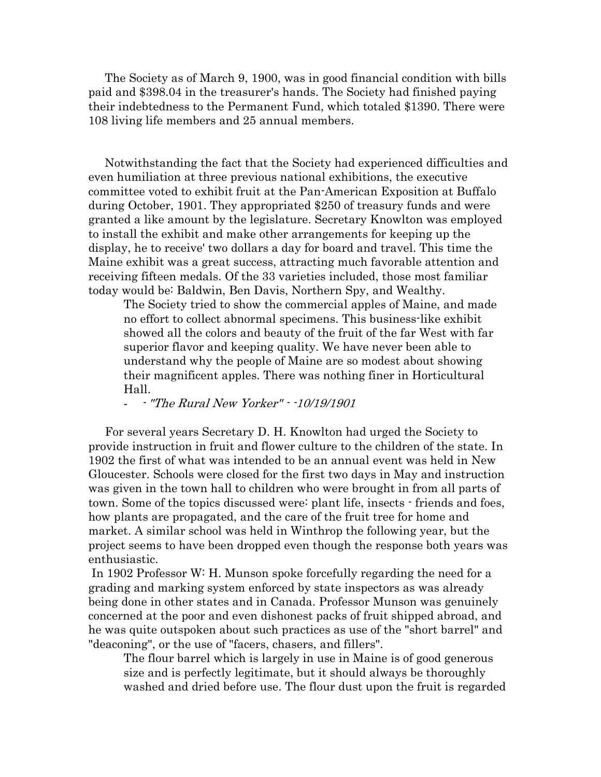The Society as of March 9, 1900, was in good financial condition with bills paid and \$398.04 in the treasurer's hands. The Society had finished paying their indebtedness to the Permanent Fund, which totaled \$1390. There were 108 living life members and 25 annual members.

 Notwithstanding the fact that the Society had experienced difficulties and even humiliation at three previous national exhibitions, the executive committee voted to exhibit fruit at the Pan-American Exposition at Buffalo during October, 1901. They appropriated \$250 of treasury funds and were granted a like amount by the legislature. Secretary Knowlton was employed to install the exhibit and make other arrangements for keeping up the display, he to receive' two dollars a day for board and travel. This time the Maine exhibit was a great success, attracting much favorable attention and receiving fifteen medals. Of the 33 varieties included, those most familiar today would be: Baldwin, Ben Davis, Northern Spy, and Wealthy.

The Society tried to show the commercial apples of Maine, and made no effort to collect abnormal specimens. This business-like exhibit showed all the colors and beauty of the fruit of the far West with far superior flavor and keeping quality. We have never been able to understand why the people of Maine are so modest about showing their magnificent apples. There was nothing finer in Horticultural Hall.

- - "The Rural New Yorker" - -10/19/1901

 For several years Secretary D. H. Knowlton had urged the Society to provide instruction in fruit and flower culture to the children of the state. In 1902 the first of what was intended to be an annual event was held in New Gloucester. Schools were closed for the first two days in May and instruction was given in the town hall to children who were brought in from all parts of town. Some of the topics discussed were: plant life, insects - friends and foes, how plants are propagated, and the care of the fruit tree for home and market. A similar school was held in Winthrop the following year, but the project seems to have been dropped even though the response both years was enthusiastic.

 In 1902 Professor W: H. Munson spoke forcefully regarding the need for a grading and marking system enforced by state inspectors as was already being done in other states and in Canada. Professor Munson was genuinely concerned at the poor and even dishonest packs of fruit shipped abroad, and he was quite outspoken about such practices as use of the "short barrel" and "deaconing", or the use of "facers, chasers, and fillers".

The flour barrel which is largely in use in Maine is of good generous size and is perfectly legitimate, but it should always be thoroughly washed and dried before use. The flour dust upon the fruit is regarded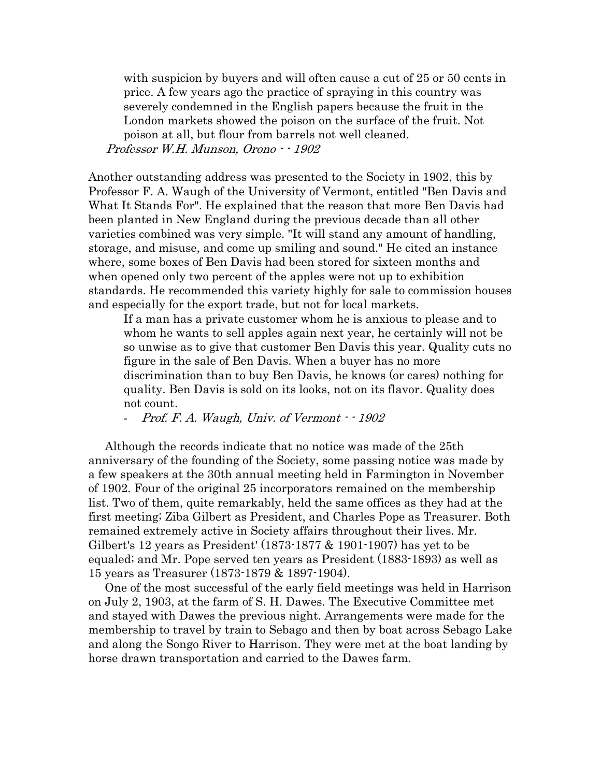with suspicion by buyers and will often cause a cut of 25 or 50 cents in price. A few years ago the practice of spraying in this country was severely condemned in the English papers because the fruit in the London markets showed the poison on the surface of the fruit. Not poison at all, but flour from barrels not well cleaned. Professor W.H. Munson, Orono  $-1902$ 

Another outstanding address was presented to the Society in 1902, this by Professor F. A. Waugh of the University of Vermont, entitled "Ben Davis and What It Stands For". He explained that the reason that more Ben Davis had been planted in New England during the previous decade than all other varieties combined was very simple. "It will stand any amount of handling, storage, and misuse, and come up smiling and sound." He cited an instance where, some boxes of Ben Davis had been stored for sixteen months and when opened only two percent of the apples were not up to exhibition standards. He recommended this variety highly for sale to commission houses and especially for the export trade, but not for local markets.

If a man has a private customer whom he is anxious to please and to whom he wants to sell apples again next year, he certainly will not be so unwise as to give that customer Ben Davis this year. Quality cuts no figure in the sale of Ben Davis. When a buyer has no more discrimination than to buy Ben Davis, he knows (or cares) nothing for quality. Ben Davis is sold on its looks, not on its flavor. Quality does not count.

- Prof. F. A. Waugh, Univ. of Vermont  $-1902$ 

 Although the records indicate that no notice was made of the 25th anniversary of the founding of the Society, some passing notice was made by a few speakers at the 30th annual meeting held in Farmington in November of 1902. Four of the original 25 incorporators remained on the membership list. Two of them, quite remarkably, held the same offices as they had at the first meeting; Ziba Gilbert as President, and Charles Pope as Treasurer. Both remained extremely active in Society affairs throughout their lives. Mr. Gilbert's 12 years as President' (1873-1877 & 1901-1907) has yet to be equaled; and Mr. Pope served ten years as President (1883-1893) as well as 15 years as Treasurer (1873-1879 & 1897-1904).

 One of the most successful of the early field meetings was held in Harrison on July 2, 1903, at the farm of S. H. Dawes. The Executive Committee met and stayed with Dawes the previous night. Arrangements were made for the membership to travel by train to Sebago and then by boat across Sebago Lake and along the Songo River to Harrison. They were met at the boat landing by horse drawn transportation and carried to the Dawes farm.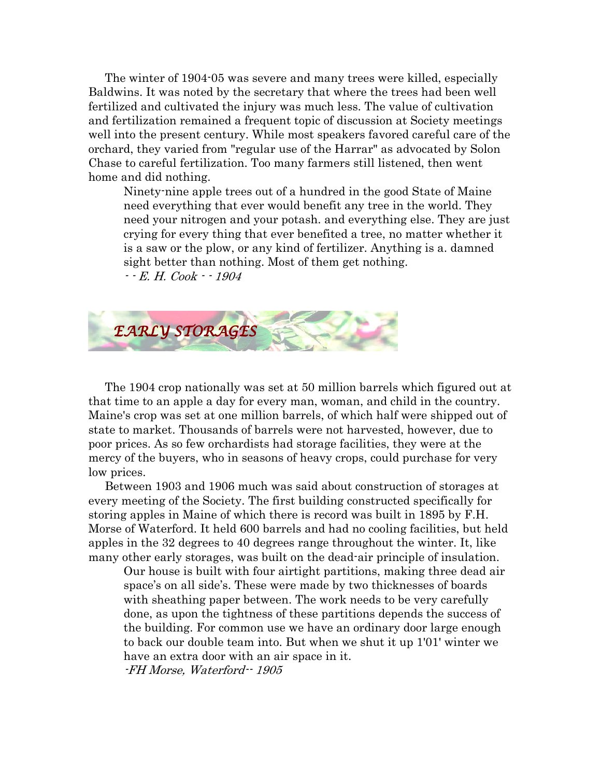The winter of 1904-05 was severe and many trees were killed, especially Baldwins. It was noted by the secretary that where the trees had been well fertilized and cultivated the injury was much less. The value of cultivation and fertilization remained a frequent topic of discussion at Society meetings well into the present century. While most speakers favored careful care of the orchard, they varied from "regular use of the Harrar" as advocated by Solon Chase to careful fertilization. Too many farmers still listened, then went home and did nothing.

Ninety-nine apple trees out of a hundred in the good State of Maine need everything that ever would benefit any tree in the world. They need your nitrogen and your potash. and everything else. They are just crying for every thing that ever benefited a tree, no matter whether it is a saw or the plow, or any kind of fertilizer. Anything is a. damned sight better than nothing. Most of them get nothing. - - E. H. Cook - - 1904



 The 1904 crop nationally was set at 50 million barrels which figured out at that time to an apple a day for every man, woman, and child in the country. Maine's crop was set at one million barrels, of which half were shipped out of state to market. Thousands of barrels were not harvested, however, due to poor prices. As so few orchardists had storage facilities, they were at the mercy of the buyers, who in seasons of heavy crops, could purchase for very low prices.

 Between 1903 and 1906 much was said about construction of storages at every meeting of the Society. The first building constructed specifically for storing apples in Maine of which there is record was built in 1895 by F.H. Morse of Waterford. It held 600 barrels and had no cooling facilities, but held apples in the 32 degrees to 40 degrees range throughout the winter. It, like many other early storages, was built on the dead-air principle of insulation.

Our house is built with four airtight partitions, making three dead air space's on all side's. These were made by two thicknesses of boards with sheathing paper between. The work needs to be very carefully done, as upon the tightness of these partitions depends the success of the building. For common use we have an ordinary door large enough to back our double team into. But when we shut it up 1'01' winter we have an extra door with an air space in it. -FH Morse, Waterford-- 1905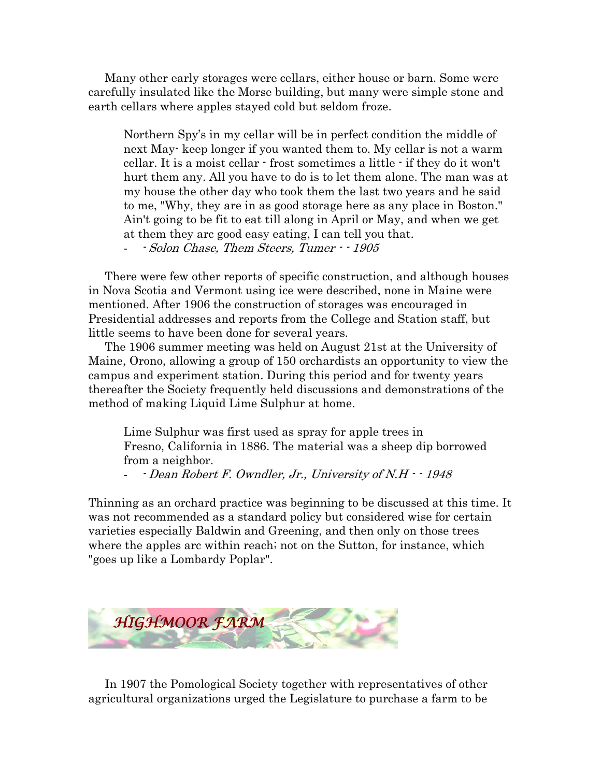Many other early storages were cellars, either house or barn. Some were carefully insulated like the Morse building, but many were simple stone and earth cellars where apples stayed cold but seldom froze.

Northern Spy's in my cellar will be in perfect condition the middle of next May- keep longer if you wanted them to. My cellar is not a warm cellar. It is a moist cellar - frost sometimes a little - if they do it won't hurt them any. All you have to do is to let them alone. The man was at my house the other day who took them the last two years and he said to me, "Why, they are in as good storage here as any place in Boston." Ain't going to be fit to eat till along in April or May, and when we get at them they arc good easy eating, I can tell you that.

- - Solon Chase, Them Steers, Tumer - - 1905

 There were few other reports of specific construction, and although houses in Nova Scotia and Vermont using ice were described, none in Maine were mentioned. After 1906 the construction of storages was encouraged in Presidential addresses and reports from the College and Station staff, but little seems to have been done for several years.

 The 1906 summer meeting was held on August 21st at the University of Maine, Orono, allowing a group of 150 orchardists an opportunity to view the campus and experiment station. During this period and for twenty years thereafter the Society frequently held discussions and demonstrations of the method of making Liquid Lime Sulphur at home.

Lime Sulphur was first used as spray for apple trees in Fresno, California in 1886. The material was a sheep dip borrowed from a neighbor.

 $-Dean Robert F. Owndler, Jr., University of N.H.  $-1948$$ 

Thinning as an orchard practice was beginning to be discussed at this time. It was not recommended as a standard policy but considered wise for certain varieties especially Baldwin and Greening, and then only on those trees where the apples arc within reach; not on the Sutton, for instance, which "goes up like a Lombardy Poplar".



 In 1907 the Pomological Society together with representatives of other agricultural organizations urged the Legislature to purchase a farm to be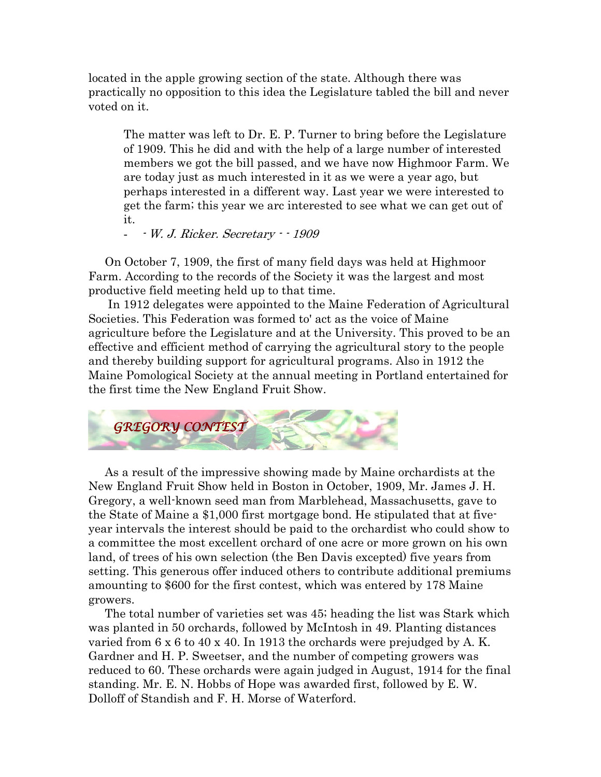located in the apple growing section of the state. Although there was practically no opposition to this idea the Legislature tabled the bill and never voted on it.

The matter was left to Dr. E. P. Turner to bring before the Legislature of 1909. This he did and with the help of a large number of interested members we got the bill passed, and we have now Highmoor Farm. We are today just as much interested in it as we were a year ago, but perhaps interested in a different way. Last year we were interested to get the farm; this year we arc interested to see what we can get out of it.

- - W. J. Ricker. Secretary - - 1909

 On October 7, 1909, the first of many field days was held at Highmoor Farm. According to the records of the Society it was the largest and most productive field meeting held up to that time.

 In 1912 delegates were appointed to the Maine Federation of Agricultural Societies. This Federation was formed to' act as the voice of Maine agriculture before the Legislature and at the University. This proved to be an effective and efficient method of carrying the agricultural story to the people and thereby building support for agricultural programs. Also in 1912 the Maine Pomological Society at the annual meeting in Portland entertained for the first time the New England Fruit Show.



 As a result of the impressive showing made by Maine orchardists at the New England Fruit Show held in Boston in October, 1909, Mr. James J. H. Gregory, a well-known seed man from Marblehead, Massachusetts, gave to the State of Maine a \$1,000 first mortgage bond. He stipulated that at fiveyear intervals the interest should be paid to the orchardist who could show to a committee the most excellent orchard of one acre or more grown on his own land, of trees of his own selection (the Ben Davis excepted) five years from setting. This generous offer induced others to contribute additional premiums amounting to \$600 for the first contest, which was entered by 178 Maine growers.

 The total number of varieties set was 45; heading the list was Stark which was planted in 50 orchards, followed by McIntosh in 49. Planting distances varied from 6 x 6 to 40 x 40. In 1913 the orchards were prejudged by A. K. Gardner and H. P. Sweetser, and the number of competing growers was reduced to 60. These orchards were again judged in August, 1914 for the final standing. Mr. E. N. Hobbs of Hope was awarded first, followed by E. W. Dolloff of Standish and F. H. Morse of Waterford.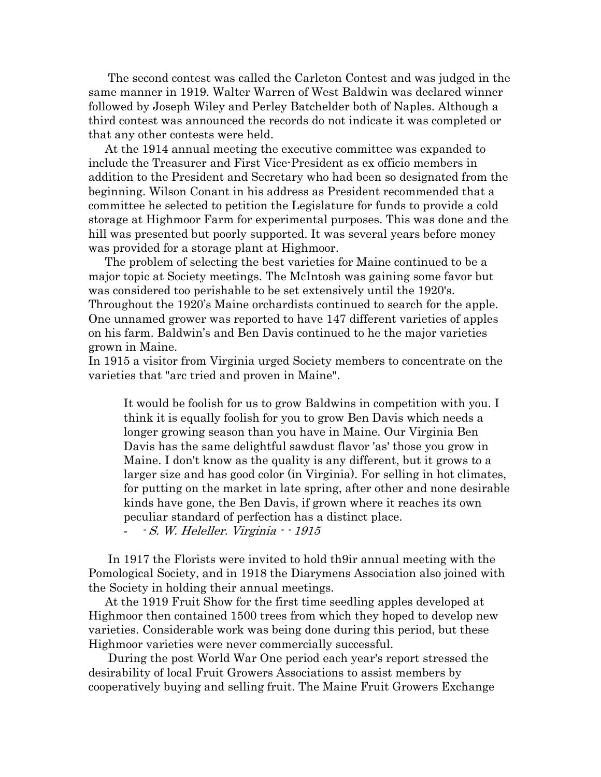The second contest was called the Carleton Contest and was judged in the same manner in 1919. Walter Warren of West Baldwin was declared winner followed by Joseph Wiley and Perley Batchelder both of Naples. Although a third contest was announced the records do not indicate it was completed or that any other contests were held.

 At the 1914 annual meeting the executive committee was expanded to include the Treasurer and First Vice-President as ex officio members in addition to the President and Secretary who had been so designated from the beginning. Wilson Conant in his address as President recommended that a committee he selected to petition the Legislature for funds to provide a cold storage at Highmoor Farm for experimental purposes. This was done and the hill was presented but poorly supported. It was several years before money was provided for a storage plant at Highmoor.

 The problem of selecting the best varieties for Maine continued to be a major topic at Society meetings. The McIntosh was gaining some favor but was considered too perishable to be set extensively until the 1920's. Throughout the 1920's Maine orchardists continued to search for the apple. One unnamed grower was reported to have 147 different varieties of apples on his farm. Baldwin's and Ben Davis continued to he the major varieties grown in Maine.

In 1915 a visitor from Virginia urged Society members to concentrate on the varieties that "arc tried and proven in Maine".

It would be foolish for us to grow Baldwins in competition with you. I think it is equally foolish for you to grow Ben Davis which needs a longer growing season than you have in Maine. Our Virginia Ben Davis has the same delightful sawdust flavor 'as' those you grow in Maine. I don't know as the quality is any different, but it grows to a larger size and has good color (in Virginia). For selling in hot climates, for putting on the market in late spring, after other and none desirable kinds have gone, the Ben Davis, if grown where it reaches its own peculiar standard of perfection has a distinct place. - - S. W. Heleller. Virginia - - 1915

 In 1917 the Florists were invited to hold th9ir annual meeting with the Pomological Society, and in 1918 the Diarymens Association also joined with the Society in holding their annual meetings.

 At the 1919 Fruit Show for the first time seedling apples developed at Highmoor then contained 1500 trees from which they hoped to develop new varieties. Considerable work was being done during this period, but these Highmoor varieties were never commercially successful.

 During the post World War One period each year's report stressed the desirability of local Fruit Growers Associations to assist members by cooperatively buying and selling fruit. The Maine Fruit Growers Exchange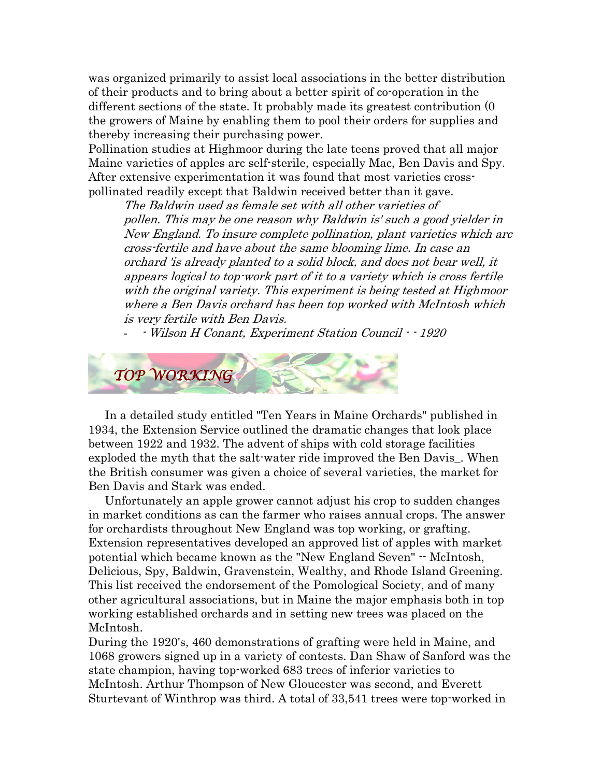was organized primarily to assist local associations in the better distribution of their products and to bring about a better spirit of co-operation in the different sections of the state. It probably made its greatest contribution (0 the growers of Maine by enabling them to pool their orders for supplies and thereby increasing their purchasing power.

Pollination studies at Highmoor during the late teens proved that all major Maine varieties of apples arc self-sterile, especially Mac, Ben Davis and Spy. After extensive experimentation it was found that most varieties crosspollinated readily except that Baldwin received better than it gave.

The Baldwin used as female set with all other varieties of pollen. This may be one reason why Baldwin is' such a good yielder in New England. To insure complete pollination, plant varieties which arc cross-fertile and have about the same blooming lime. In case an orchard 'is already planted to a solid block, and does not bear well, it appears logical to top-work part of it to a variety which is cross fertile with the original variety. This experiment is being tested at Highmoor where a Ben Davis orchard has been top worked with McIntosh which is very fertile with Ben Davis.

- - Wilson H Conant, Experiment Station Council - - 1920



 In a detailed study entitled "Ten Years in Maine Orchards" published in 1934, the Extension Service outlined the dramatic changes that look place between 1922 and 1932. The advent of ships with cold storage facilities exploded the myth that the salt-water ride improved the Ben Davis\_. When the British consumer was given a choice of several varieties, the market for Ben Davis and Stark was ended.

 Unfortunately an apple grower cannot adjust his crop to sudden changes in market conditions as can the farmer who raises annual crops. The answer for orchardists throughout New England was top working, or grafting. Extension representatives developed an approved list of apples with market potential which became known as the "New England Seven" -- McIntosh, Delicious, Spy, Baldwin, Gravenstein, Wealthy, and Rhode Island Greening. This list received the endorsement of the Pomological Society, and of many other agricultural associations, but in Maine the major emphasis both in top working established orchards and in setting new trees was placed on the McIntosh.

During the 1920's, 460 demonstrations of grafting were held in Maine, and 1068 growers signed up in a variety of contests. Dan Shaw of Sanford was the state champion, having top-worked 683 trees of inferior varieties to McIntosh. Arthur Thompson of New Gloucester was second, and Everett Sturtevant of Winthrop was third. A total of 33,541 trees were top-worked in